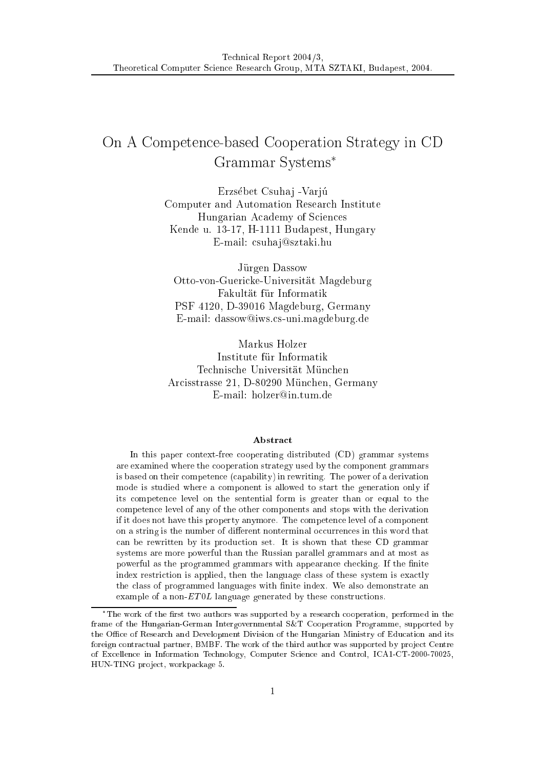# On A Competen
e-based Cooperation Strategy in CD Grammar Systems

Erzsébet Csuhaj - Varjú Computer and Automation Resear
h Institute Hungarian A
ademy of S
ien
es Kende u. 13-17, H-1111 Budapest, Hungary E-mail: csuhaj@sztaki.hu

Jürgen Dassow Otto-von-Guericke-Universität Magdeburg Fakultat fur Informatik PSF 4120, D-39016 Magdeburg, Germany E-mail: dassow@iws.cs-uni.magdeburg.de

Markus Holzer Institute fur Informatik Technische Universität München Arcisstrasse 21, D-80290 München, Germany E-mail: holzer@in.tum.de

#### Abstra
t

In this paper context-free cooperating distributed (CD) grammar systems are examined where the ooperation strategy used by the omponent grammars is based on their ompeten
e (
apability) in rewriting. The power of a derivation mode is studied where a omponent is allowed to start the generation only if its ompeten
e level on the sentential form is greater than or equal to the ompeten
e level of any of the other omponents and stops with the derivation if it does not have this property anymore. The ompeten
e level of a omponent on a string is the number of different nonterminal occurrences in this word that can be rewritten by its production set. It is shown that these CD grammar systems are more powerful than the Russian parallel grammars and at most as powerful as the programmed grammars with appearance checking. If the finite index restriction is applied, then the language class of these system is exactly the class of programmed languages with finite index. We also demonstrate an example of a non- $ET0L$  language generated by these constructions.

The work of the rst two authors was supported by a resear
h ooperation, performed in the frame of the Hungarian-German Intergovernmental S&T Cooperation Programme, supported by the Office of Research and Development Division of the Hungarian Ministry of Education and its foreign contractual partner, BMBF. The work of the third author was supported by project Centre of Ex
ellen
e in Information Te
hnology, Computer S
ien
e and Control, ICA1-CT-2000-70025, HUN-TING project, workpackage 5.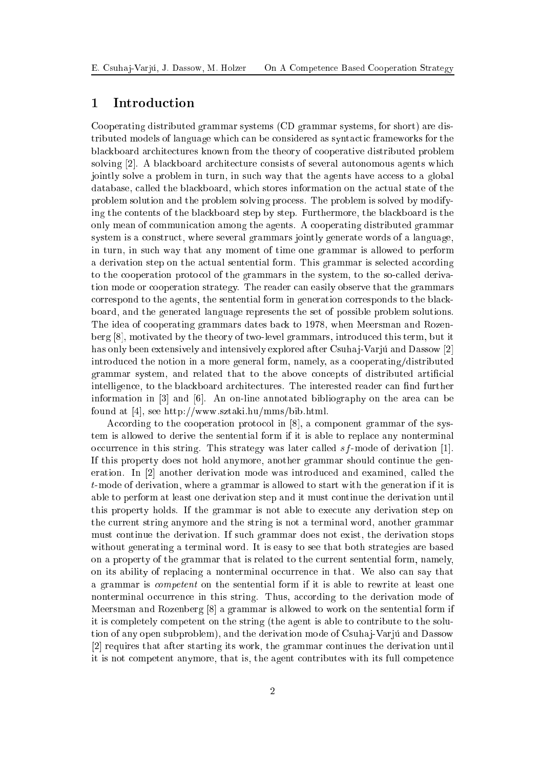# <sup>1</sup> Introdu
tion

Cooperating distributed grammar systems (CD grammar systems, for short) are distributed models of language which can be considered as syntactic frameworks for the bla
kboard ar
hite
tures known from the theory of ooperative distributed problem solving [2]. A blackboard architecture consists of several autonomous agents which jointly solve a problem in turn, in such way that the agents have access to a global database, alled the bla
kboard, whi
h stores information on the a
tual state of the problem solution and the problem solving pro
ess. The problem is solved by modifying the ontents of the bla
kboard step by step. Furthermore, the bla
kboard is the only mean of ommuni
ation among the agents. A ooperating distributed grammar system is a onstru
t, where several grammars jointly generate words of a language, in turn, in su
h way that any moment of time one grammar is allowed to perform a derivation step on the actual sentential form. This grammar is selected according to the cooperation protocol of the grammars in the system, to the so-called derivation mode or ooperation strategy. The reader an easily observe that the grammars orrespond to the agents, the sentential form in generation orresponds to the bla
kboard, and the generated language represents the set of possible problem solutions. The idea of ooperating grammars dates ba
k to 1978, when Meersman and Rozen- $\text{berg } [8]$ , motivated by the theory of two-level grammars, introduced this term, but it has only been extensively and intensively explored after Csuha j-Variu and Dassow [2] introdu
ed the notion in a more general form, namely, as a ooperating/distributed grammar system, and related that to the above concepts of distributed artificial intelligence, to the blackboard architectures. The interested reader can find further information in  $[3]$  and  $[6]$ . An on-line annotated bibliography on the area can be found at [4], see http://www.sztaki.hu/mms/bib.html.

According to the cooperation protocol in  $[8]$ , a component grammar of the system is allowed to derive the sentential form if it is able to repla
e any nonterminal occurrence in this string. This strategy was later called  $s f$ -mode of derivation [1]. If this property does not hold anymore, another grammar should ontinue the generation. In [2] another derivation mode was introduced and examined, called the t-mode of derivation, where a grammar is allowed to start with the generation if it is able to perform at least one derivation step and it must ontinue the derivation until this property holds. If the grammar is not able to exe
ute any derivation step on the urrent string anymore and the string is not a terminal word, another grammar must ontinue the derivation. If su
h grammar does not exist, the derivation stops without generating a terminal word. It is easy to see that both strategies are based on a property of the grammar that is related to the urrent sentential form, namely, on its ability of replacing a nonterminal occurrence in that. We also can say that a grammar is ompetent on the sentential form if it is able to rewrite at least one nonterminal occurrence in this string. Thus, according to the derivation mode of Meersman and Rozenberg  $[8]$  a grammar is allowed to work on the sentential form if it is ompletely ompetent on the string (the agent is able to ontribute to the solution of any open subproblem), and the derivation mode of Csuhaj-Varju and Dassow [2] requires that after starting its work, the grammar continues the derivation until it is not ompetent anymore, that is, the agent ontributes with its full ompeten
e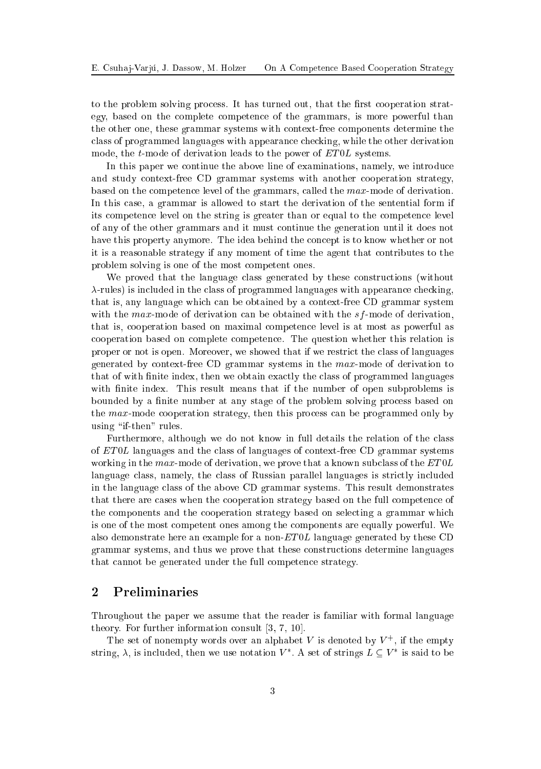to the problem solving process. It has turned out, that the first cooperation strategy, based on the omplete ompeten
e of the grammars, is more powerful than the other one, these grammar systems with ontext-free omponents determine the lass of programmed languages with appearan
e he
king, while the other derivation mode, the *t*-mode of derivation leads to the power of  $ET0L$  systems.

In this paper we continue the above line of examinations, namely, we introduce and study ontext-free CD grammar systems with another ooperation strategy, based on the ompeten
e level of the grammars, alled the max-mode of derivation. In this ase, a grammar is allowed to start the derivation of the sentential form if its ompeten
e level on the string is greater than or equal to the ompeten
e level of any of the other grammars and it must ontinue the generation until it does not have this property anymore. The idea behind the concept is to know whether or not it is a reasonable strategy if any moment of time the agent that ontributes to the problem solving is one of the most ompetent ones.

We proved that the language class generated by these constructions (without  $\lambda$ -rules) is included in the class of programmed languages with appearance checking, that is, any language which can be obtained by a context-free CD grammar system with the  $max$ -mode of derivation can be obtained with the  $sf$ -mode of derivation, that is, ooperation based on maximal ompeten
e level is at most as powerful as ooperation based on omplete ompeten
e. The question whether this relation is proper or not is open. Moreover, we showed that if we restrict the class of languages generated by ontext-free CD grammar systems in the max-mode of derivation to that of with finite index, then we obtain exactly the class of programmed languages with finite index. This result means that if the number of open subproblems is bounded by a finite number at any stage of the problem solving process based on the max-mode cooperation strategy, then this process can be programmed only by using "if-then" rules.

Furthermore, although we do not know in full details the relation of the class of ET 0L languages and the lass of languages of ontext-free CD grammar systems working in the max-mode of derivation, we prove that a known subclass of the  $ET0L$ language class, namely, the class of Russian parallel languages is strictly included in the language lass of the above CD grammar systems. This result demonstrates that there are ases when the ooperation strategy based on the full ompeten
e of the omponents and the ooperation strategy based on sele
ting a grammar whi
h is one of the most ompetent ones among the omponents are equally powerful. We also demonstrate here an example for a non- $ET0L$  language generated by these CD grammar systems, and thus we prove that these onstru
tions determine languages that annot be generated under the full ompeten
e strategy.

# <sup>2</sup> Preliminaries

Throughout the paper we assume that the reader is familiar with formal language theory. For further information consult  $[3, 7, 10]$ .

The set of nonempty words over an alphabet V is denoted by  $V^+$ , if the empty string,  $\lambda$ , is included, then we use notation  $V^*$ . A set of strings  $L \subseteq V^*$  is said to be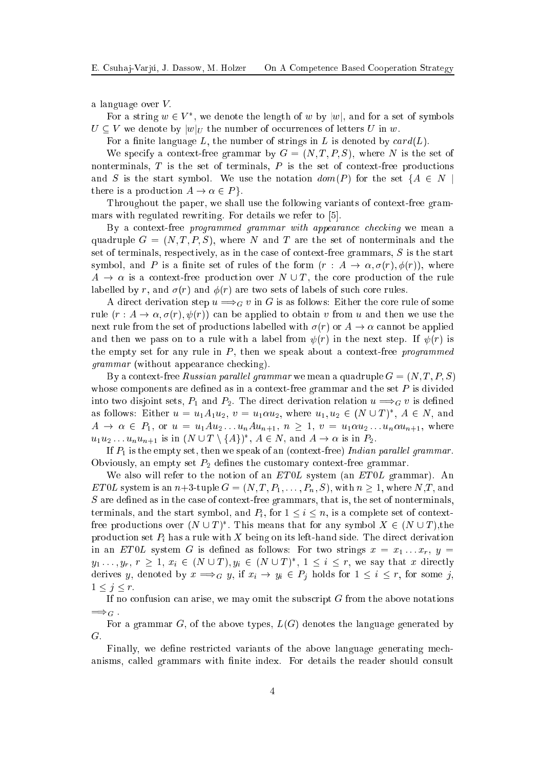a language over  $V$ .

For a string  $w \in V^*$ , we denote the length of w by  $|w|$ , and for a set of symbols  $U \subset V$  we denote by  $|w|_U$  the number of occurrences of letters U in w.

For a finite language L, the number of strings in L is denoted by  $card(L)$ .

We specify a context-free grammar by  $G = (N, T, P, S)$ , where N is the set of nonterminals,  $T$  is the set of terminals,  $P$  is the set of context-free productions and S is the start symbol. We use the notation  $dom(P)$  for the set  $\{A \in N \mid$ there is a production  $A \to \alpha \in P$ .

Throughout the paper, we shall use the following variants of context-free grammars with regulated rewriting. For details we refer to  $[5]$ .

By a context-free programmed grammar with appearance checking we mean a quadruple  $G = (N, T, P, S)$ , where N and T are the set of nonterminals and the set of terminals, respectively, as in the case of context-free grammars,  $S$  is the start symbol, and P is a finite set of rules of the form  $(r: A \rightarrow \alpha, \sigma(r), \phi(r))$ , where  $A \to \alpha$  is a context-free production over  $N \cup T$ , the core production of the rule labelled by r, and  $\sigma(r)$  and  $\phi(r)$  are two sets of labels of such core rules.

A direct derivation step  $u \Longrightarrow_G v$  in G is as follows: Either the core rule of some rule  $(r : A \to \alpha, \sigma(r), \psi(r))$  can be applied to obtain v from u and then we use the next rule from the set of productions labelled with  $\sigma(r)$  or  $A \to \alpha$  cannot be applied and then we pass on to a rule with a label from  $\psi(r)$  in the next step. If  $\psi(r)$  is the empty set for any rule in  $P$ , then we speak about a context-free programmed grammar (without appearan
e he
king).

By a context-free *Russian parallel grammar* we mean a quadruple  $G = (N, T, P, S)$ whose components are defined as in a context-free grammar and the set  $P$  is divided into two disjoint sets,  $P_1$  and  $P_2$ . The direct derivation relation  $u \Longrightarrow_G v$  is defined as follows: Either  $u = u_1 A_1 u_2$ ,  $v = u_1 \alpha u_2$ , where  $u_1, u_2 \in (N \cup T)^*$ ,  $A \in N$ , and  $A \rightarrow \alpha \in P_1$ , or  $u = u_1 A u_2 \ldots u_n A u_{n+1}$ ,  $n \geq 1$ ,  $v = u_1 \alpha u_2 \ldots u_n \alpha u_{n+1}$ , where  $u_1u_2 \ldots u_n u_{n+1}$  is in  $(N \cup T \setminus \{A\})^*$ ,  $A \in N$ , and  $A \to \alpha$  is in  $P_2$ .

If  $P_1$  is the empty set, then we speak of an (context-free) Indian parallel grammar. Obviously, an empty set  $P_2$  defines the customary context-free grammar.

We also will refer to the notion of an  $ET0L$  system (an  $ET0L$  grammar). An ET0L system is an  $n+3$ -tuple  $G = (N, T, P_1, \ldots, P_n, S)$ , with  $n \geq 1$ , where  $N, T$ , and S are defined as in the case of context-free grammars, that is, the set of nonterminals, terminals, and the start symbol, and  $P_i$ , for  $1 \leq i \leq n$ , is a complete set of contextfree productions over  $(N \cup T)^*$ . This means that for any symbol  $X \in (N \cup T)$ , the production set  $P_i$  has a rule with X being on its left-hand side. The direct derivation in an ET0L system G is defined as follows: For two strings  $x = x_1 \dots x_r$ ,  $y =$  $y_1, \ldots, y_r, r \geq 1, x_i \in (N \cup T), y_i \in (N \cup T)^*, 1 \leq i \leq r$ , we say that x directly derives y, denoted by  $x \Longrightarrow_G y$ , if  $x_i \to y_i \in P_j$  holds for  $1 \leq i \leq r$ , for some j,  $1 \leq j \leq r.$ 

If no confusion can arise, we may omit the subscript  $G$  from the above notations  $\Longrightarrow_G$ .

For a grammar G, of the above types,  $L(G)$  denotes the language generated by G:

Finally, we define restricted variants of the above language generating mechanisms, called grammars with finite index. For details the reader should consult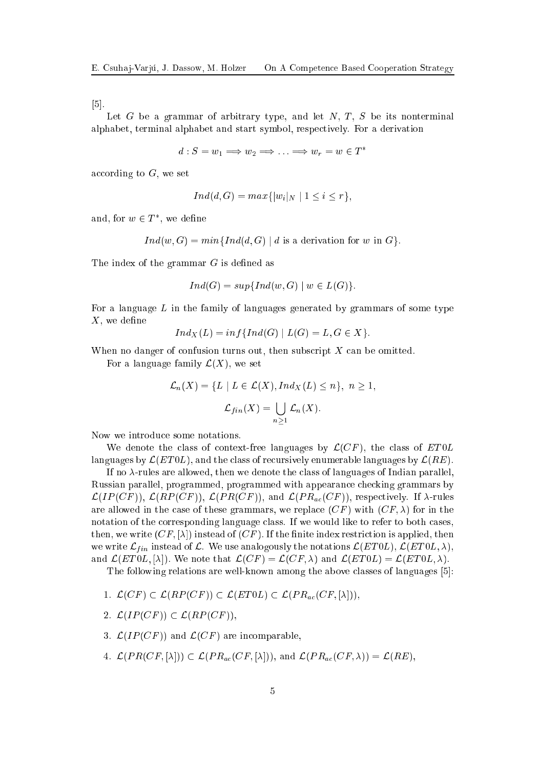$[5]$ .

Let G be a grammar of arbitrary type, and let  $N$ , T, S be its nonterminal alphabet, terminal alphabet and start symbol, respectively. For a derivation

 $d: S = w_1 \Longrightarrow w_2 \Longrightarrow \ldots \Longrightarrow w_r = w \in T^*$ 

according to  $G$ , we set

$$
Ind(d, G) = max{ |w_i|_N | 1 \leq i \leq r },
$$

and, for  $w \in T^*$ , we define

$$
Ind(w, G) = min\{Ind(d, G) | d \text{ is a derivation for } w \text{ in } G\}.
$$

The index of the grammar  $G$  is defined as

$$
Ind(G) = sup\{Ind(w, G) \mid w \in L(G)\}.
$$

For a language  $L$  in the family of languages generated by grammars of some type  $X$ , we define

$$
Ind_X(L)=inf\{Ind(G) \mid L(G)=L, G\in X\}.
$$

When no danger of confusion turns out, then subscript  $X$  can be omitted.

For a language family  $\mathcal{L}(X)$ , we set

$$
\mathcal{L}_n(X) = \{ L \mid L \in \mathcal{L}(X), Ind_X(L) \le n \}, n \ge 1,
$$
  

$$
\mathcal{L}_{fin}(X) = \bigcup_{n \ge 1} \mathcal{L}_n(X).
$$

Now we introdu
e some notations.

We denote the class of context-free languages by  $\mathcal{L}(CF)$ , the class of  $ET0L$ languages by  $\mathcal{L}(ET0L)$ , and the class of recursively enumerable languages by  $\mathcal{L}(RE)$ .

If no  $\lambda$ -rules are allowed, then we denote the class of languages of Indian parallel, Russian parallel, programmed, programmed with appearance checking grammars by  $\mathcal{L}(IP(CF))$ ,  $\mathcal{L}(RP(CF))$ ,  $\mathcal{L}(PR(CF))$ , and  $\mathcal{L}(PR_{ac}(CF))$ , respectively. If  $\lambda$ -rules are allowed in the case of these grammars, we replace  $(CF)$  with  $(CF, \lambda)$  for in the notation of the corresponding language class. If we would like to refer to both cases, then, we write  $(CF, [\lambda])$  instead of  $(CF)$ . If the finite index restriction is applied, then we write  $\mathcal{L}_{fin}$  instead of  $\mathcal{L}$ . We use analogously the notations  $\mathcal{L}(ET0L), \mathcal{L}(ET0L, \lambda)$ ; and  $\mathcal{L}(ET0L, [\lambda])$ . We note that  $\mathcal{L}(CF) = \mathcal{L}(CF, \lambda)$  and  $\mathcal{L}(ET0L) = \mathcal{L}(ET0L, \lambda)$ .

The following relations are well-known among the above classes of languages [5]:

- 1.  $\mathcal{L}(CF) \subset \mathcal{L}(RP(CF)) \subset \mathcal{L}(ET0L) \subset \mathcal{L}(PR_{ac}(CF,[\lambda])),$
- 2.  $\mathcal{L}(IP(CF)) \subset \mathcal{L}(RP(CF)),$
- 3.  $\mathcal{L}(IP(CF))$  and  $\mathcal{L}(CF)$  are incomparable,
- 4.  $\mathcal{L}(PR(CF, [\lambda])) \subset \mathcal{L}(PR_{ac}(CF, [\lambda]))$ , and  $\mathcal{L}(PR_{ac}(CF, \lambda)) = \mathcal{L}(RE)$ ,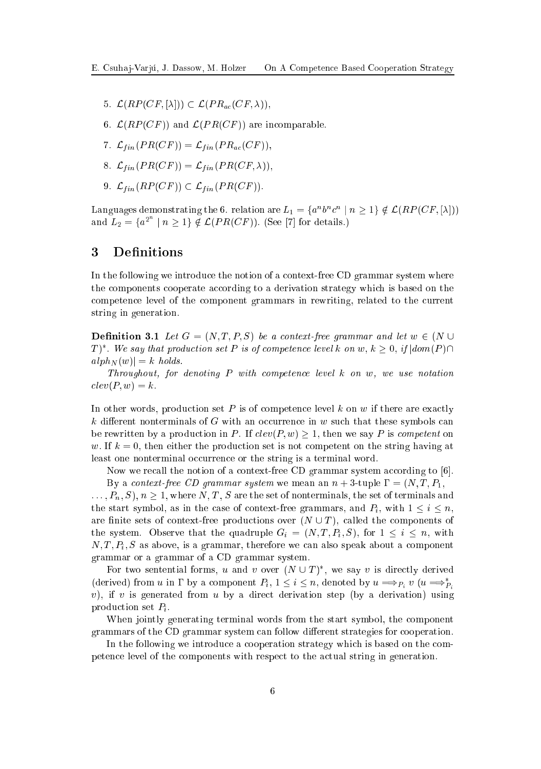- 5.  $\mathcal{L}(RP(CF, [\lambda])) \subset \mathcal{L}(PR_{ac}(CF, \lambda)),$
- 6.  $\mathcal{L}(RP(CF))$  and  $\mathcal{L}(PR(CF))$  are incomparable.
- 7.  $\mathcal{L}_{fin}(PR(CF)) = \mathcal{L}_{fin}(PR_{ac}(CF)),$
- 8.  $\mathcal{L}_{fin}(PR(CF)) = \mathcal{L}_{fin}(PR(CF, \lambda)),$
- 9.  $\mathcal{L}_{fin}(RP(CF)) \subset \mathcal{L}_{fin}(PR(CF)).$

Languages demonstrating the 6. relation are  $L_1 = \{a^n b^n c^n \mid n \geq 1\} \notin \mathcal{L}(RP(CF, [\lambda]))$ and  $L_2 = \{a^{2^n} \mid n \geq 1\} \notin \mathcal{L}(PR(CF))$ . (See [7] for details.)

# 3 Definitions

In the following we introduce the notion of a context-free CD grammar system where the components cooperate according to a derivation strategy which is based on the ompeten
e level of the omponent grammars in rewriting, related to the urrent string in generation.

**Definition 3.1** Let  $G = (N, T, P, S)$  be a context-free grammar and let  $w \in (N \cup$  $T)^*.$  We say that production set P is of competence level k on w,  $k\geq 0,$  if  $|dom(P)\cap D|$  $a lph_N (w) = k \text{ holds.}$ 

Throughout, for denoting P with ompeten
e level k on w, we use notation  $dev(P, w) = k.$ 

In other words, production set  $P$  is of competence level k on w if there are exactly  $k$  different nonterminals of G with an occurrence in w such that these symbols can be rewritten by a production in P. If  $clev(P, w) \geq 1$ , then we say P is competent on w. If  $k = 0$ , then either the production set is not competent on the string having at least one nonterminal occurrence or the string is a terminal word.

Now we recall the notion of a context-free CD grammar system according to  $[6]$ .

By a context-free CD grammar system we mean an  $n + 3$ -tuple  $\Gamma = (N, T, P_1, \Gamma_2)$  $\ldots, P_n, S$ ,  $n \geq 1$ , where N, T, S are the set of nonterminals, the set of terminals and the start symbol, as in the case of context-free grammars, and  $P_i$ , with  $1 \leq i \leq n$ , are finite sets of context-free productions over  $(N \cup T)$ , called the components of the system. Observe that the quadruple  $G_i = (N, T, P_i, S)$ , for  $1 \leq i \leq n$ , with  $N, T, P_i, S$  as above, is a grammar, therefore we can also speak about a component grammar or a grammar of a CD grammar system.

For two sentential forms, u and v over  $(N \cup T)^*$ , we say v is directly derived (derived) from u in  $\Gamma$  by a component  $P_i$ ,  $1 \leq i \leq n$ , denoted by  $u \Longrightarrow_{P_i} v$   $(u \Longrightarrow_P^* E_i)$ Pi v), if v is generated from u by a direct derivation step (by a derivation) using production set  $P_i$ .

When jointly generating terminal words from the start symbol, the omponent grammars of the CD grammar system can follow different strategies for cooperation.

In the following we introduce a cooperation strategy which is based on the competen
e level of the omponents with respe
t to the a
tual string in generation.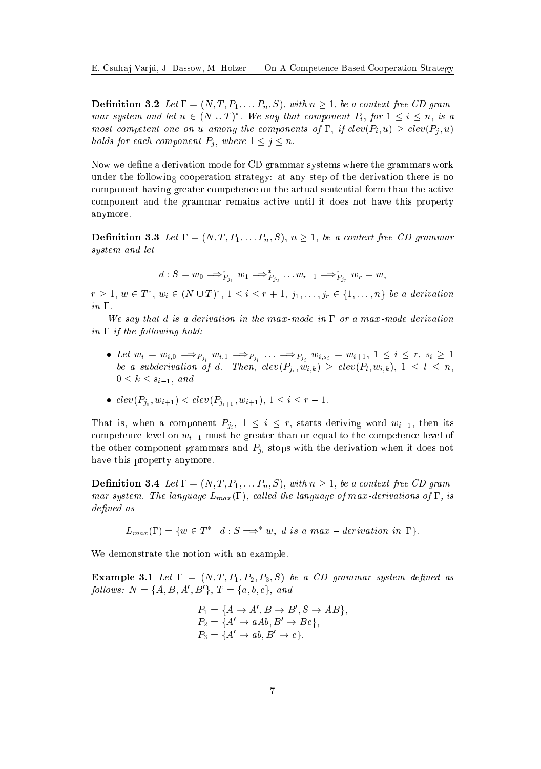**Definition 3.2** Let  $\Gamma = (N, T, P_1, \ldots, P_n, S)$ , with  $n \geq 1$ , be a context-free CD grammar system and let  $u \in (N \cup T)^*$ . We say that component  $P_i$ , for  $1 \leq i \leq n$ , is a most competent one on u among the components of  $\Gamma$ , if  $clev(P_i, u) \geq clev(P_i, u)$ holds for each component  $P_j$ , where  $1 \leq j \leq n$ .

Now we define a derivation mode for CD grammar systems where the grammars work under the following ooperation strategy: at any step of the derivation there is no omponent having greater ompeten
e on the a
tual sentential form than the a
tive omponent and the grammar remains a
tive until it does not have this property anymore.

**Definition 3.3** Let  $\Gamma = (N, T, P_1, \ldots, P_n, S), n \geq 1$ , be a context-free CD grammar system and let

$$
d: S = w_0 \Longrightarrow_{P_{j_1}}^* w_1 \Longrightarrow_{P_{j_2}}^* \ldots w_{r-1} \Longrightarrow_{P_{j_r}}^* w_r = w,
$$

 $r \geq 1, w \in T^*$ ,  $w_i \in (N \cup T)^*$ ,  $1 \leq i \leq r+1, j_1, \ldots, j_r \in \{1, \ldots, n\}$  be a derivation  $in \Gamma$ .

We say that d is a derivation in the max-mode in  $\Gamma$  or a max-mode derivation in  $\Gamma$  if the following hold:

- $\bullet\ \ Let\ w_i\ =\ w_{i,0}\ \Longrightarrow_{P_{j_i}}\ w_{i,1}\ \Longrightarrow_{P_{j_i}}\ \ldots\ \Longrightarrow_{P_{j_i}}\ w_{i,s_i}\ =\ w_{i+1},\ 1\ \leq\ i\ \leq\ r,\ s_i\ \geq\ 1$ be a subderivation of d. Then,  $clev(P_{j_i}, w_{i,k}) \geq clev(P_l, w_{i,k}), 1 \leq l \leq n$ ,  $0 \leq k \leq s_{i-1}, \text{ and}$
- $clev(P_{j_i}, w_{i+1}) < clev(P_{j_{i+1}}, w_{i+1}), 1 \leq i \leq r-1.$

That is, when a component  $P_{j_i}$ ,  $1 \leq i \leq r$ , starts deriving word  $w_{i-1}$ , then its competence level on  $w_{i-1}$  must be greater than or equal to the competence level of the other component grammars and  $P_{ij}$  stops with the derivation when it does not have this property anymore.

**Definition 3.4** Let  $\Gamma = (N, T, P_1, \ldots, P_n, S)$ , with  $n \geq 1$ , be a context-free CD grammar system. The language  $L_{max}(\Gamma)$ , called the language of max-derivations of  $\Gamma$ , is defined as

 $L_{max}(\Gamma) = \{w \in T^* \mid d : S \Longrightarrow^* w, d \text{ is a max-derivation in } \Gamma\}.$ 

We demonstrate the notion with an example.

**Example 3.1** Let  $\Gamma = (N, T, P_1, P_2, P_3, S)$  be a CD grammar system defined as  $follows: N = \{A, B, A', B'\}, T = \{a, b, c\}, and$ 

$$
P_1 = \{ A \rightarrow A', B \rightarrow B', S \rightarrow AB \},
$$
  
\n
$$
P_2 = \{ A' \rightarrow aAb, B' \rightarrow Bc \},
$$
  
\n
$$
P_3 = \{ A' \rightarrow ab, B' \rightarrow c \}.
$$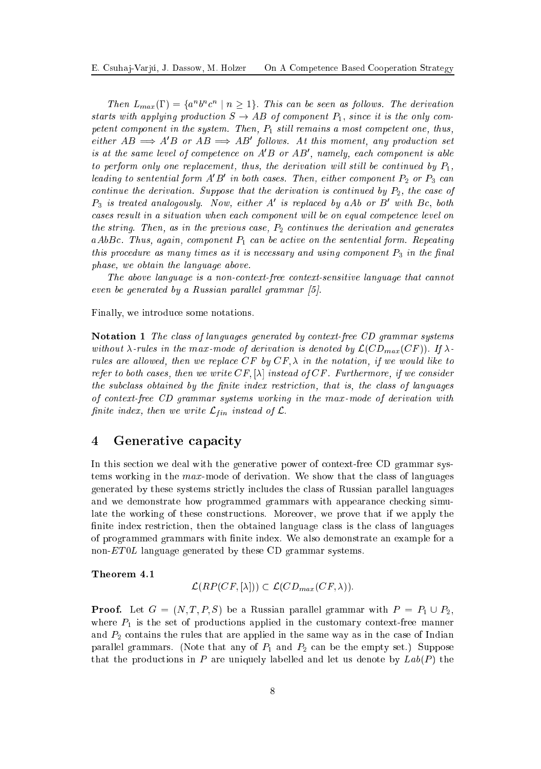Then  $L_{max}(\Gamma) = \{a^n b^n c^n \mid n \geq 1\}$ . This can be seen as follows. The derivation starts with applying production  $S \to AB$  of component  $P_1$ , since it is the only competent component in the system. Then,  $P_1$  still remains a most competent one, thus, either  $AB \implies A'B$  or  $AB \implies AB'$  follows. At this moment, any production set is at the same level of competence on  $A'B$  or  $AB'$ , namely, each component is able to perform only one replacement, thus, the derivation will still be continued by  $P_1$ , leading to sentential form  $A'B'$  in both cases. Then, either component  $P_2$  or  $P_3$  can continue the derivation. Suppose that the derivation is continued by  $P_2$ , the case of  $P_3$  is treated analogously. Now, either  $A'$  is replaced by a $Ab$  or  $B'$  with  $Bc,~both$ cases result in a situation when each component will be on equal competence level on the string. Then, as in the previous case,  $P_2$  continues the derivation and generates aAbBc. Thus, again, component  $P_1$  can be active on the sentential form. Repeating this procedure as many times as it is necessary and using component  $P_3$  in the final phase, we obtain the language above.

The above language is a non-context-free context-sensitive language that cannot even be generated by a Russian parallel grammar  $[5]$ .

Finally, we introdu
e some notations.

Notation 1 The class of languages generated by context-free CD grammar systems without  $\lambda$ -rules in the max-mode of derivation is denoted by  $\mathcal{L}(CD_{max}(CF))$ . If  $\lambda$ rules are allowed, then we replace  $CF$  by  $CF, \lambda$  in the notation, if we would like to refer to both cases, then we write  $CF, [\lambda]$  instead of  $CF$ . Furthermore, if we consider the subclass obtained by the finite index restriction, that is, the class of languages of ontext-free CD grammar systems working in the max-mode of derivation with finite index, then we write  $\mathcal{L}_{fin}$  instead of  $\mathcal{L}.$ 

#### Generative capacity  $\overline{\mathbf{4}}$

In this section we deal with the generative power of context-free CD grammar systems working in the  $max$ -mode of derivation. We show that the class of languages generated by these systems stri
tly in
ludes the lass of Russian parallel languages and we demonstrate how programmed grammars with appearance checking simulate the working of these onstru
tions. Moreover, we prove that if we apply the finite index restriction, then the obtained language class is the class of languages of programmed grammars with finite index. We also demonstrate an example for a non-ET0L language generated by these CD grammar systems.

#### Theorem 4.1

$$
\mathcal{L}(RP(CF,[\lambda])) \subset \mathcal{L}(CD_{max}(CF,\lambda)).
$$

**Proof.** Let  $G = (N, T, P, S)$  be a Russian parallel grammar with  $P = P_1 \cup P_2$ , where  $P_1$  is the set of productions applied in the customary context-free manner and  $P_2$  contains the rules that are applied in the same way as in the case of Indian parallel grammars. (Note that any of  $P_1$  and  $P_2$  can be the empty set.) Suppose that the productions in P are uniquely labelled and let us denote by  $Lab(P)$  the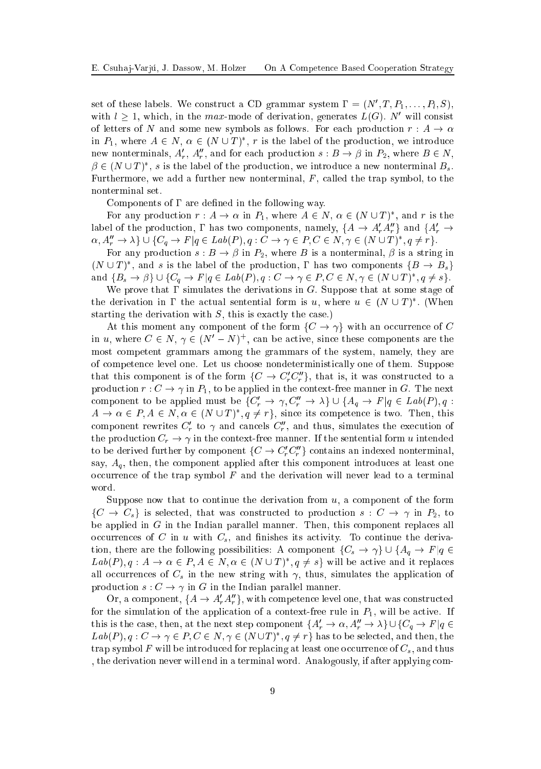set of these labels. We construct a CD grammar system  $\Gamma = (N', T, P_1, \ldots, P_l, S),$ with  $l \geq 1$ , which, in the max-mode of derivation, generates  $L(G)$ . N' will consist of letters of N and some new symbols as follows. For each production  $r : A \to \alpha$ in  $P_1$ , where  $A \in N$ ,  $\alpha \in (N \cup T)^*$ , r is the label of the production, we introduce new nonterminals,  $A'_r$ ,  $A''_r$ , and for each production  $s : B \to \beta$  in  $P_2$ , where  $B \in N$ ,  $\beta \in (N \cup T)^*$ , s is the label of the production, we introduce a new nonterminal  $B_s$ . Furthermore, we add a further new nonterminal,  $F$ , called the trap symbol, to the nonterminal set.

Components of  $\Gamma$  are defined in the following way.

For any production  $r : A \to \alpha$  in  $P_1$ , where  $A \in N$ ,  $\alpha \in (N \cup T)^*$ , and r is the label of the production,  $\Gamma$  has two components, namely,  $\{A \to A'_r A''_r\}$  and  $\{A'_r \to$  $\alpha, A''_r \to \lambda \} \cup \{ C_q \to F | q \in Lab(P), q: C \to \gamma \in P, C \in N, \gamma \in (N \cup T)^*, q \neq r \}.$ 

For any production  $s : B \to \beta$  in  $P_2$ , where B is a nonterminal,  $\beta$  is a string in  $(N \cup T)^*$ , and s is the label of the production,  $\Gamma$  has two components  $\{B \to B_s\}$ and  $\{B_s \to \beta\} \cup \{C_q \to F | q \in Lab(P), q : C \to \gamma \in P, C \in N, \gamma \in (N \cup T)^*, q \neq s\}.$ 

We prove that  $\Gamma$  simulates the derivations in G. Suppose that at some stage of the derivation in  $\Gamma$  the actual sentential form is u, where  $u \in (N \cup T)^*$ . (When starting the derivation with  $S$ , this is exactly the case.)

At this moment any component of the form  $\{C \to \gamma\}$  with an occurrence of C in u, where  $C \in N$ ,  $\gamma \in (N'-N)^+$ , can be active, since these components are the most ompetent grammars among the grammars of the system, namely, they are of ompeten
e level one. Let us hoose nondeterministi
ally one of them. Suppose that this component is of the form  $\{C \to C_r^r C_r^r\}$ , that is, it was constructed to a production  $r: C \to \gamma$  in  $P_1$ , to be applied in the context-free manner in G. The next component to be applied must be  ${C'_r \to \gamma, C''_r \to \lambda} \cup {A_q \to F | q \in Lab(P), q}$ :  $A \to \alpha \in P, A \in N, \alpha \in (N \cup T)^*, q \neq r$ , since its competence is two. Then, this component rewrites  $C'_r$  to  $\gamma$  and cancels  $C''_r$ , and thus, simulates the execution of the production  $C_r \to \gamma$  in the context-free manner. If the sentential form u intended to be derived further by component  $\{C \to C_r' C_r''\}$  contains an indexed nonterminal, say,  $A<sub>q</sub>$ , then, the component applied after this component introduces at least one occurrence of the trap symbol  $F$  and the derivation will never lead to a terminal word.

Suppose now that to continue the derivation from  $u$ , a component of the form  $\{C \to C_s\}$  is selected, that was constructed to production  $s : C \to \gamma$  in  $P_2$ , to be applied in  $G$  in the Indian parallel manner. Then, this component replaces all occurrences of C in u with  $C_s$ , and finishes its activity. To continue the derivation, there are the following possibilities: A component  $\{C_s \to \gamma\} \cup \{A_q \to F | q \in$  $Lab(P), q: A \to \alpha \in P, A \in N, \alpha \in (N \cup T)^*, q \neq s\}$  will be active and it replaces all occurrences of  $C_s$  in the new string with  $\gamma$ , thus, simulates the application of production  $s: C \to \gamma$  in G in the Indian parallel manner.

Or, a component,  $\{A \rightarrow A'_r A''_r\}$ , with competence level one, that was constructed for the simulation of the application of a context-free rule in  $P_1$ , will be active. If this is the case, then, at the next step component  $\{A'_r \to \alpha, A''_r \to \lambda\} \cup \{C_q \to F | q \in$  $Lab(P), q: C \to \gamma \in P, C \in N, \gamma \in (N \cup T)^*, q \neq r\}$  has to be selected, and then, the trap symbol F will be introduced for replacing at least one occurrence of  $C_s$ , and thus , the derivation never will end in a terminal word. Analogously, if after applying om-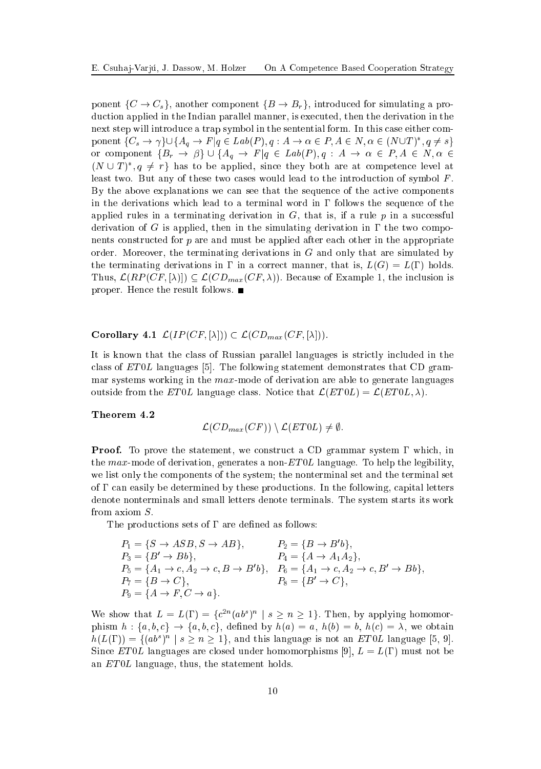ponent  $\{C \to C_s\}$ , another component  $\{B \to B_r\}$ , introduced for simulating a production applied in the Indian parallel manner, is executed, then the derivation in the next step will introduce a trap symbol in the sentential form. In this case either component  $\{C_s \to \gamma\} \cup \{A_q \to F | q \in Lab(P), q: A \to \alpha \in P, A \in N, \alpha \in (N \cup T)^*, q \neq s\}$ or component  $\{B_r \to \beta\} \cup \{A_q \to F | q \in Lab(P), q : A \to \alpha \in P, A \in N, \alpha \in$  $(N \cup T)^{*}$ ,  $q \neq r$  has to be applied, since they both are at competence level at least two. But any of these two cases would lead to the introduction of symbol  $F$ . By the above explanations we can see that the sequence of the active components in the derivations which lead to a terminal word in  $\Gamma$  follows the sequence of the applied rules in a terminating derivation in  $G$ , that is, if a rule  $p$  in a successful derivation of G is applied, then in the simulating derivation in  $\Gamma$  the two components onstru
ted for p are and must be applied after ea
h other in the appropriate order. Moreover, the terminating derivations in  $G$  and only that are simulated by the terminating derivations in  $\Gamma$  in a correct manner, that is,  $L(G) = L(\Gamma)$  holds. Thus,  $\mathcal{L}(RP(CF, [\lambda])) \subseteq \mathcal{L}(CD_{max}(CF, \lambda)).$  Because of Example 1, the inclusion is proper. Hence the result follows.  $\blacksquare$ 

# Corollary 4.1  $\mathcal{L}(IP(CF, [\lambda])) \subset \mathcal{L}(CD_{max}(CF, [\lambda])).$

It is known that the class of Russian parallel languages is strictly included in the class of  $ET0L$  languages [5]. The following statement demonstrates that CD grammar systems working in the  $max$ -mode of derivation are able to generate languages outside from the ET0L language class. Notice that  $\mathcal{L}(ET0L) = \mathcal{L}(ET0L, \lambda)$ .

#### Theorem 4.2

$$
\mathcal{L}(CD_{max}(CF))\setminus \mathcal{L}(ET0L)\neq \emptyset.
$$

**Proof.** To prove the statement, we construct a CD grammar system  $\Gamma$  which, in the max-mode of derivation, generates a non- $ET0L$  language. To help the legibility, we list only the omponents of the system; the nonterminal set and the terminal set of  $\Gamma$  can easily be determined by these productions. In the following, capital letters denote nonterminals and small letters denote terminals. The system starts its work from axiom S:

The productions sets of  $\Gamma$  are defined as follows:

$$
P_1 = \{S \to ASB, S \to AB\},
$$
  
\n
$$
P_2 = \{B \to B'b\},
$$
  
\n
$$
P_3 = \{B' \to Bb\},
$$
  
\n
$$
P_4 = \{A \to A_1A_2\},
$$
  
\n
$$
P_5 = \{A_1 \to c, A_2 \to c, B \to B'b\},
$$
  
\n
$$
P_6 = \{A_1 \to c, A_2 \to c, B' \to Bb\},
$$
  
\n
$$
P_7 = \{B \to C\},
$$
  
\n
$$
P_8 = \{B' \to C\},
$$
  
\n
$$
P_9 = \{A \to F, C \to a\}.
$$

We show that  $L = L(\Gamma) = \{c^{2n}(ab^s)^n \mid s \geq n \geq 1\}$ . Then, by applying homomorphism  $h: \{a, b, c\} \rightarrow \{a, b, c\}$ , defined by  $h(a) = a$ ,  $h(b) = b$ ,  $h(c) = \lambda$ , we obtain  $h(L(\Gamma)) = \{(ab^s)^n \mid s \geq n \geq 1\}$ , and this language is not an ET0L language [5, 9]. Since ET0L languages are closed under homomorphisms [9],  $L = L(\Gamma)$  must not be an ET0L language, thus, the statement holds.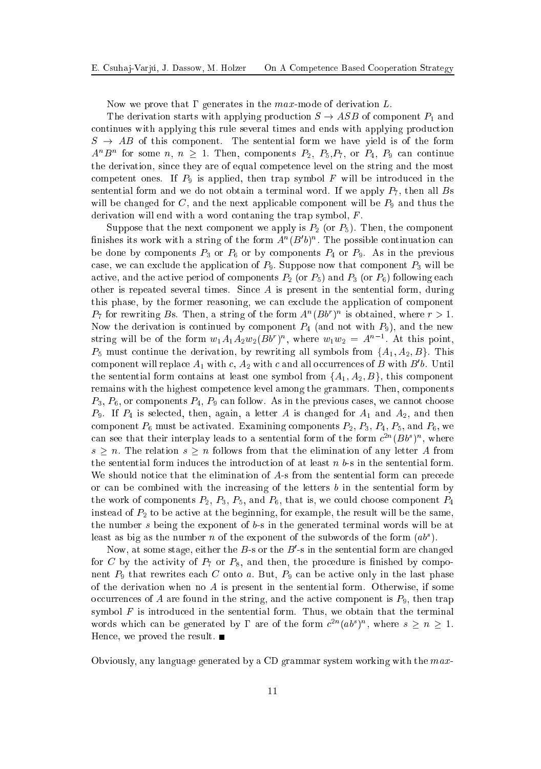Now we prove that  $\Gamma$  generates in the max-mode of derivation  $L$ .

The derivation starts with applying production  $S \to ASB$  of component  $P_1$  and ontinues with applying this rule several times and ends with applying produ
tion  $S \rightarrow AB$  of this component. The sentential form we have yield is of the form  $A^nB^n$  for some  $n, n \ge 1$ . Then, components  $P_2, P_5, P_7$ , or  $P_4, P_9$  can continue the derivation, sin
e they are of equal ompeten
e level on the string and the most competent ones. If  $P_9$  is applied, then trap symbol F will be introduced in the sentential form and we do not obtain a terminal word. If we apply  $P_7$ , then all Bs will be changed for C, and the next applicable component will be  $P_9$  and thus the derivation will end with a word contaning the trap symbol,  $F$ .

Suppose that the next component we apply is  $P_2$  (or  $P_5$ ). Then, the component finishes its work with a string of the form  $A<sup>n</sup>(B'b)<sup>n</sup>$ . The possible continuation can be done by components  $P_3$  or  $P_6$  or by components  $P_4$  or  $P_9$ . As in the previous case, we can exclude the application of  $P_9$ . Suppose now that component  $P_3$  will be active, and the active period of components  $P_2$  (or  $P_5$ ) and  $P_3$  (or  $P_6$ ) following each other is repeated several times. Since  $A$  is present in the sentential form, during this phase, by the former reasoning, we an ex
lude the appli
ation of omponent  $P_7$  for rewriting Bs. Then, a string of the form  $A^n(Bb^r)^n$  is obtained, where  $r > 1$ . Now the derivation is continued by component  $P_4$  (and not with  $P_9$ ), and the new string will be of the form  $w_1A_1A_2w_2(Bb^r)^n$ , where  $w_1w_2 = A^{n-1}$ . At this point,  $P_5$  must continue the derivation, by rewriting all symbols from  $\{A_1, A_2, B\}$ . This component will replace  $A_1$  with  $c, A_2$  with c and all occurrences of B with B'b. Until the sentential form contains at least one symbol from  $\{A_1, A_2, B\}$ , this component remains with the highest ompeten
e level among the grammars. Then, omponents  $P_3, P_6$ , or components  $P_4, P_9$  can follow. As in the previous cases, we cannot choose  $P_9$ . If  $P_4$  is selected, then, again, a letter A is changed for  $A_1$  and  $A_2$ , and then component  $P_6$  must be activated. Examining components  $P_2$ ,  $P_3$ ,  $P_4$ ,  $P_5$ , and  $P_6$ , we can see that their interplay leads to a sentential form of the form  $c^{2n}(Bb^{s})^{n}$ , where  $s \geq n$ . The relation  $s \geq n$  follows from that the elimination of any letter A from the sentential form induces the introduction of at least  $n \, b$ -s in the sentential form. We should notice that the elimination of A-s from the sentential form can precede or can be combined with the increasing of the letters  $b$  in the sentential form by the work of components  $P_2$ ,  $P_3$ ,  $P_5$ , and  $P_6$ , that is, we could choose component  $P_4$ instead of  $P_2$  to be active at the beginning, for example, the result will be the same, the number <sup>s</sup> being the exponent of b-s in the generated terminal words will be at least as big as the number n of the exponent of the subwords of the form  $(ab^s)$ .

Now, at some stage, either the B-s or the  $B'$ -s in the sentential form are changed for C by the activity of  $P_7$  or  $P_8$ , and then, the procedure is finished by component  $P_9$  that rewrites each C onto a. But,  $P_9$  can be active only in the last phase of the derivation when no  $A$  is present in the sentential form. Otherwise, if some occurrences of A are found in the string, and the active component is  $P_9$ , then trap symbol  $F$  is introduced in the sentential form. Thus, we obtain that the terminal words which can be generated by  $\Gamma$  are of the form  $c^{2n}(ab^s)^n$ , where  $s \geq n \geq 1$ . Hence, we proved the result. ■

Obviously, any language generated by a CD grammar system working with the max-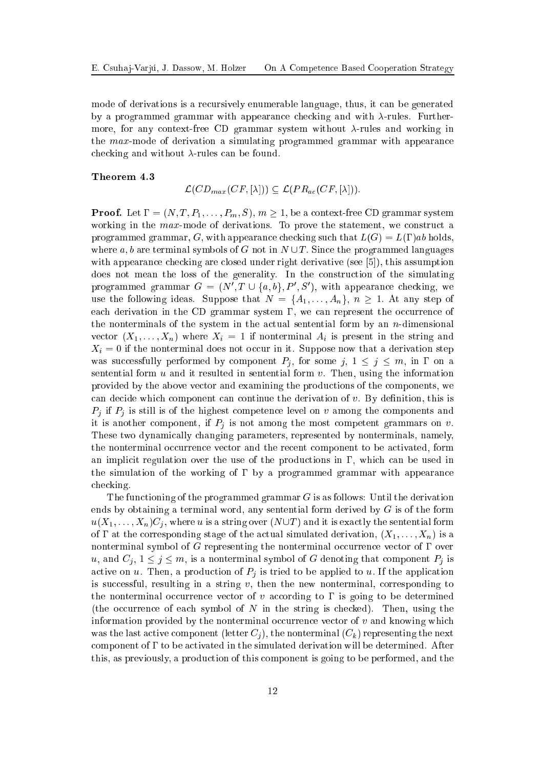mode of derivations is a re
ursively enumerable language, thus, it an be generated by a programmed grammar with appearance checking and with  $\lambda$ -rules. Furthermore, for any context-free CD grammar system without  $\lambda$ -rules and working in the max-mode of derivation a simulating programmed grammar with appearan
e checking and without  $\lambda$ -rules can be found.

#### Theorem 4.3

$$
\mathcal{L}(CD_{max}(CF, [\lambda])) \subseteq \mathcal{L}(PR_{ac}(CF, [\lambda])).
$$

**Proof.** Let  $\Gamma = (N, T, P_1, \ldots, P_m, S), m \geq 1$ , be a context-free CD grammar system working in the max-mode of derivations. To prove the statement, we construct a programmed grammar, G, with appearance checking such that  $L(G) = L(\Gamma)ab$  holds, where a, b are terminal symbols of G not in  $N \cup T$ . Since the programmed languages with appearance checking are closed under right derivative (see  $[5]$ ), this assumption does not mean the loss of the generality. In the construction of the simulating programmed grammar  $G = (N', T \cup \{a, b\}, P', S')$ , with appearance checking, we use the following ideas. Suppose that  $N = \{A_1, \ldots, A_n\}$ ,  $n \geq 1$ . At any step of each derivation in the CD grammar system  $\Gamma$ , we can represent the occurrence of the nonterminals of the system in the actual sentential form by an  $n$ -dimensional vector  $(X_1, \ldots, X_n)$  where  $X_i = 1$  if nonterminal  $A_i$  is present in the string and  $X_i = 0$  if the nonterminal does not occur in it. Suppose now that a derivation step was successfully performed by component  $P_j$ , for some  $j, 1 \le j \le m$ , in  $\Gamma$  on a sentential form  $u$  and it resulted in sentential form  $v$ . Then, using the information provided by the above ve
tor and examining the produ
tions of the omponents, we can decide which component can continue the derivation of  $v$ . By definition, this is  $P_i$  if  $P_j$  is still is of the highest competence level on v among the components and it is another component, if  $P_j$  is not among the most competent grammars on v. These two dynami
ally hanging parameters, represented by nonterminals, namely, the nonterminal occurrence vector and the recent component to be activated, form an implicit regulation over the use of the productions in  $\Gamma$ , which can be used in the simulation of the working of  $\Gamma$  by a programmed grammar with appearance checking.

The functioning of the programmed grammar  $G$  is as follows: Until the derivation ends by obtaining a terminal word, any sentential form derived by  $G$  is of the form  $u(X_1,\ldots,X_n)C_i$ , where u is a string over  $(N\cup T)$  and it is exactly the sentential form of  $\Gamma$  at the corresponding stage of the actual simulated derivation,  $(X_1, \ldots, X_n)$  is a nonterminal symbol of G representing the nonterminal occurrence vector of  $\Gamma$  over u, and  $C_i$ ,  $1 \leq j \leq m$ , is a nonterminal symbol of G denoting that component  $P_i$  is active on u. Then, a production of  $P_j$  is tried to be applied to u. If the application is successful, resulting in a string  $v$ , then the new nonterminal, corresponding to the nonterminal occurrence vector of v according to  $\Gamma$  is going to be determined (the occurrence of each symbol of  $N$  in the string is checked). Then, using the information provided by the nonterminal occurrence vector of  $v$  and knowing which was the last active component (letter  $C_i$ ), the nonterminal  $(C_k)$  representing the next component of  $\Gamma$  to be activated in the simulated derivation will be determined. After this, as previously, a produ
tion of this omponent is going to be performed, and the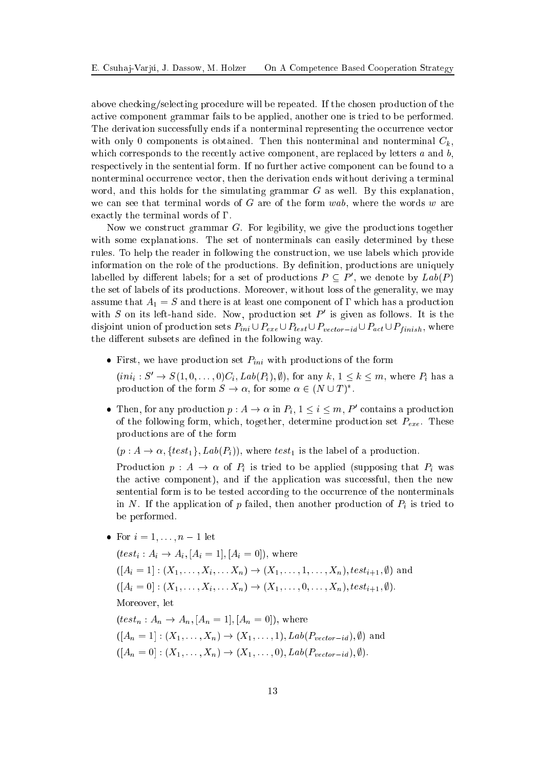above checking/selecting procedure will be repeated. If the chosen production of the a
tive omponent grammar fails to be applied, another one is tried to be performed. The derivation successfully ends if a nonterminal representing the occurrence vector with only 0 components is obtained. Then this nonterminal and nonterminal  $C_k$ . which corresponds to the recently active component, are replaced by letters  $a$  and  $b$ , respectively in the sentential form. If no further active component can be found to a nonterminal occurrence vector, then the derivation ends without deriving a terminal word, and this holds for the simulating grammar G as well. By this explanation, we can see that terminal words of  $G$  are of the form wab, where the words w are exactly the terminal words of  $\Gamma$ .

Now we construct grammar G. For legibility, we give the productions together with some explanations. The set of nonterminals can easily determined by these rules. To help the reader in following the onstru
tion, we use labels whi
h provide information on the role of the productions. By definition, productions are uniquely labelled by different labels; for a set of productions  $P \subseteq P'$ , we denote by  $Lab(P)$ the set of labels of its produ
tions. Moreover, without loss of the generality, we may assume that  $A_1 = S$  and there is at least one component of  $\Gamma$  which has a production with S on its left-hand side. Now, production set  $P'$  is given as follows. It is the disjoint union of production sets  $P_{ini} \cup P_{exe} \cup P_{test} \cup P_{vector-id} \cup P_{act} \cup P_{finish}$ , where the different subsets are defined in the following way.

• First, we have production set  $P_{ini}$  with productions of the form

 $(ini_i: S' \rightarrow S(1,0,\ldots,0)C_i, Lab(P_i), \emptyset)$ , for any  $k, 1 \leq k \leq m$ , where  $P_i$  has a production of the form  $S \to \alpha$ , for some  $\alpha \in (N \cup T)^*$ .

• Then, for any production  $p: A \to \alpha$  in  $P_i$ ,  $1 \leq i \leq m$ ,  $P'$  contains a production of the following form, which, together, determine production set  $P_{exe}$ . These produ
tions are of the form

 $(p: A \rightarrow \alpha, \{test_1\}, Lab(P_i)),$  where  $test_1$  is the label of a production.

Production  $p : A \to \alpha$  of  $P_i$  is tried to be applied (supposing that  $P_i$  was the active component), and if the application was successful, then the new sentential form is to be tested according to the occurrence of the nonterminals in N. If the application of p failed, then another production of  $P_i$  is tried to be performed.

• For  $i = 1, \ldots, n - 1$  let

 $(test_i : A_i \rightarrow A_i, [A_i = 1], [A_i = 0]),$  where  $([A_i = 1] : (X_1, \ldots, X_i, \ldots, X_n) \to (X_1, \ldots, 1, \ldots, X_n), test_{i+1}, \emptyset)$  and  $([A_i = 0] : (X_1, \ldots, X_i, \ldots, X_n) \to (X_1, \ldots, 0, \ldots, X_n), test_{i+1}, \emptyset).$ Moreover, let  $(test_n : A_n \rightarrow A_n, [A_n = 1], [A_n = 0]),$  where  $([A_n = 1] : (X_1, ..., X_n) \to (X_1, ..., 1), Lab(P_{vector-id}), \emptyset)$  and  $([A_n = 0] : (X_1, \ldots, X_n) \to (X_1, \ldots, 0), Lab(P_{vector - id}), \emptyset).$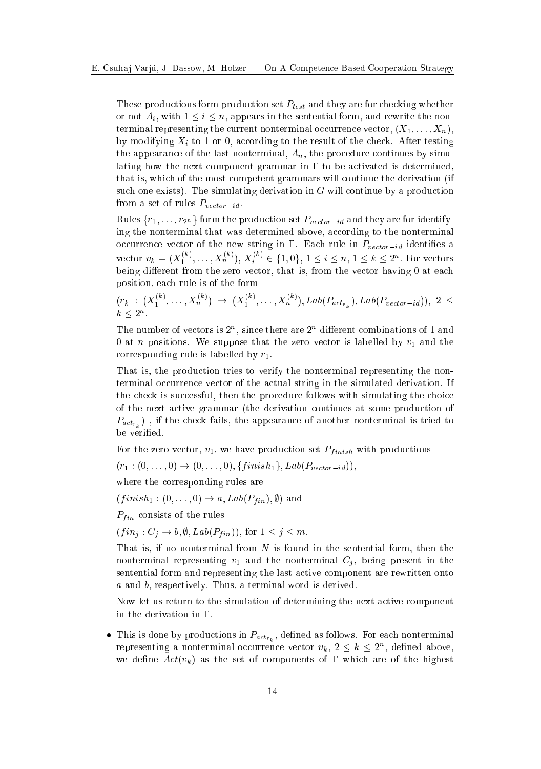These productions form production set  $P_{test}$  and they are for checking whether or not  $A_i$ , with  $1 \leq i \leq n$ , appears in the sentential form, and rewrite the nonterminal representing the current nonterminal occurrence vector,  $(X_1, \ldots, X_n)$ , by modifying  $X_i$  to 1 or 0, according to the result of the check. After testing the appearance of the last nonterminal,  $A_n$ , the procedure continues by simulating how the next component grammar in  $\Gamma$  to be activated is determined, that is, whi
h of the most ompetent grammars will ontinue the derivation (if such one exists). The simulating derivation in  $G$  will continue by a production from a set of rules  $P_{vector-id}$ .

Rules  $\{r_1, \ldots, r_{2^n}\}$  form the production set  $P_{vector-id}$  and they are for identifying the nonterminal that was determined above, according to the nonterminal occurrence vector of the new string in  $\Gamma$ . Each rule in  $P_{vector-id}$  identifies a vector  $v_k = (X_1^{(k)}, \ldots, X_n^{(k)})$ ,  $X_i^{(k)} \in \{1, 0\}$ ,  $1 \leq i \leq n$ ,  $1 \leq k \leq 2^n$ . For vectors being different from the zero vector, that is, from the vector having 0 at each position, ea
h rule is of the form

$$
(r_k : (X_1^{(k)}, \ldots, X_n^{(k)}) \to (X_1^{(k)}, \ldots, X_n^{(k)}), \text{Lab}(P_{act_{r_k}}), \text{Lab}(P_{vector-id}), 2 \leq k \leq 2^n.
$$

The number of ve
tors is 2n , sin
e there are 2<sup>n</sup> dierent ombinations of 1 and 0 at *n* positions. We suppose that the zero vector is labelled by  $v_1$  and the corresponding rule is labelled by  $r_1$ .

That is, the produ
tion tries to verify the nonterminal representing the nonterminal occurrence vector of the actual string in the simulated derivation. If the check is successful, then the procedure follows with simulating the choice of the next a
tive grammar (the derivation ontinues at some produ
tion of  $P_{act_{r}}$ ), if the check fails, the appearance of another nonterminal is tried to

For the zero vector,  $v_1$ , we have production set  $P_{finish}$  with productions

$$
(r_1:(0,\ldots,0) \to (0,\ldots,0), \{finish_1\}, Lab(P_{vector-id})),
$$

where the orresponding rules are

 $(finish_1 : (0, \ldots, 0) \rightarrow a, Lab(P_{fin}), \emptyset)$  and

 $P_{fin}$  consists of the rules

 $(fin_j: C_j \to b, \emptyset, Lab(P_{fin})),$  for  $1 \leq j \leq m$ .

That is, if no nonterminal from  $N$  is found in the sentential form, then the nonterminal representing  $v_1$  and the nonterminal  $C_i$ , being present in the sentential form and representing the last active component are rewritten onto <sup>a</sup> and b, respe
tively. Thus, a terminal word is derived.

Now let us return to the simulation of determining the next a
tive omponent in the derivation in  $\Gamma$ .

• This is done by productions in  $P_{act_{r}}$ , defined as follows. For each nonterminal representing a nonterminal occurrence vector  $v_k$ ,  $2 \leq k \leq 2^n$ , defined above, we define  $Act(v_k)$  as the set of components of  $\Gamma$  which are of the highest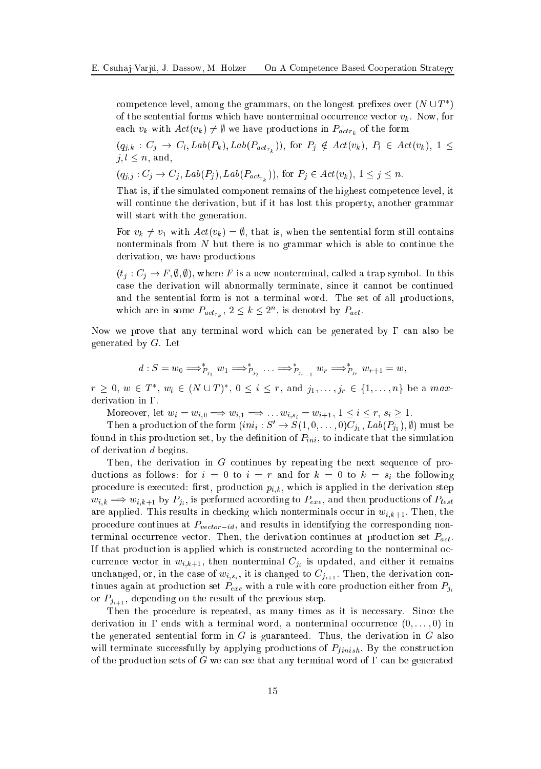competence level, among the grammars, on the longest prefixes over  $(N \cup T^*)$ of the sentential forms which have nonterminal occurrence vector  $v_k$ . Now, for each  $v_k$  with  $Act(v_k) \neq \emptyset$  we have productions in  $P_{actr_k}$  of the form

 $(q_{j,k}: C_j \to C_l, \text{Lab}(P_k), \text{Lab}(P_{act_{r_k}}))$ , for  $P_j \notin \text{Act}(v_k), P_l \in \text{Act}(v_k), 1 \leq$  $j, l \leq n$ , and,

$$
(q_{j,j}: C_j \to C_j, Lab(P_j), Lab(P_{act_{r_i}})),
$$
 for  $P_j \in Act(v_k), 1 \leq j \leq n$ .

That is, if the simulated omponent remains of the highest ompeten
e level, it will continue the derivation, but if it has lost this property, another grammar will start with the generation.

For  $v_k \neq v_1$  with  $Act(v_k) = \emptyset$ , that is, when the sentential form still contains nonterminals from  $N$  but there is no grammar which is able to continue the derivation, we have productions

 $(t_i : C_i \to F, \emptyset, \emptyset)$ , where F is a new nonterminal, called a trap symbol. In this ase the derivation will abnormally terminate, sin
e it annot be ontinued and the sentential form is not a terminal word. The set of all productions, which are in some  $P_{act_{r}}$ ,  $2 \leq k \leq 2^{n}$ , is denoted by  $P_{act}$ .

Now we prove that any terminal word which can be generated by  $\Gamma$  can also be generated by G. Let

$$
d: S = w_0 \Longrightarrow_{P_{j_1}}^* w_1 \Longrightarrow_{P_{j_2}}^* \ldots \Longrightarrow_{P_{j_{r-1}}}^* w_r \Longrightarrow_{P_{j_r}}^* w_{r+1} = w,
$$

 $r \geq 0, w \in T^*, w_i \in (N \cup T)^*, 0 \leq i \leq r$ , and  $j_1, \ldots, j_r \in \{1, \ldots, n\}$  be a maxderivation in  $\Gamma$ .

Moreover, let  $w_i = w_{i,0} \Longrightarrow w_{i,1} \Longrightarrow \dots w_{i,s_i} = w_{i+1}, 1 \leq i \leq r, s_i \geq 1.$ 

Then a production of the form  $(ini_i: S' \rightarrow S(1,0,\ldots,0)C_{j_1}, Lab(P_{j_1}),\emptyset)$  must be found in this production set, by the definition of  $P_{ini}$ , to indicate that the simulation of derivation d begins.

Then, the derivation in G continues by repeating the next sequence of productions as follows: for  $i = 0$  to  $i = r$  and for  $k = 0$  to  $k = s_i$  the following procedure is executed: first, production  $p_{i,k}$ , which is applied in the derivation step  $w_{i,k} \implies w_{i,k+1}$  by  $P_{j_i}$ , is performed according to  $P_{exc}$ , and then productions of  $P_{test}$ are applied. This results in checking which nonterminals occur in  $w_{i,k+1}$ . Then, the procedure continues at  $P_{vector - id}$ , and results in identifying the corresponding nonterminal occurrence vector. Then, the derivation continues at production set  $P_{act}$ . If that production is applied which is constructed according to the nonterminal occurrence vector in  $w_{i,k+1}$ , then nonterminal  $C_{j_i}$  is updated, and either it remains unchanged, or, in the case of  $w_{i,s_i}$ , it is changed to  $C_{j_{i+1}}$ . Then, the derivation continues again at production set  $P_{exe}$  with a rule with core production either from  $P_{ji}$ or  $P_{i_{i+1}}$ , depending on the result of the previous step.

Then the procedure is repeated, as many times as it is necessary. Since the derivation in  $\Gamma$  ends with a terminal word, a nonterminal occurrence  $(0, \ldots, 0)$  in the generated sentential form in  $G$  is guaranteed. Thus, the derivation in  $G$  also will terminate successfully by applying productions of  $P_{finish}$ . By the construction of the production sets of G we can see that any terminal word of  $\Gamma$  can be generated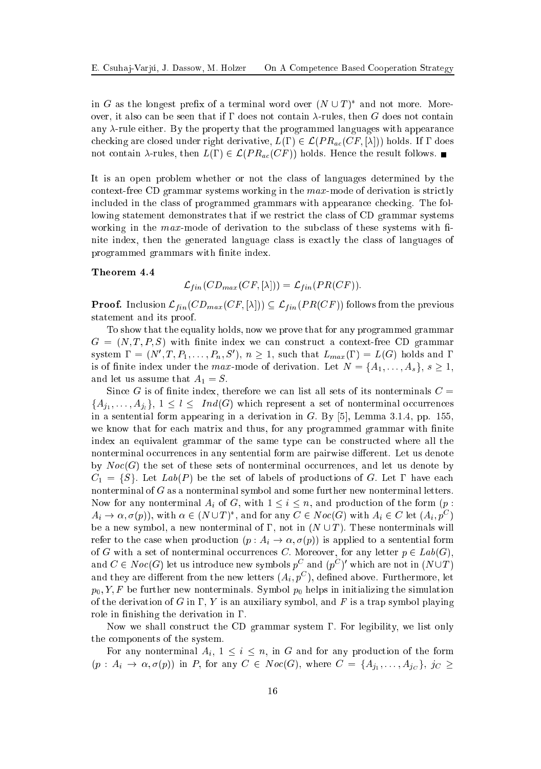in G as the longest prefix of a terminal word over  $(N \cup T)^*$  and not more. Moreover, it also can be seen that if  $\Gamma$  does not contain  $\lambda$ -rules, then G does not contain any  $\lambda$ -rule either. By the property that the programmed languages with appearance checking are closed under right derivative,  $L(\Gamma) \in \mathcal{L}(PR_{ac}(CF, [\lambda]))$  holds. If  $\Gamma$  does not contain  $\lambda$ -rules, then  $L(\Gamma) \in \mathcal{L}(PR_{ac}(CF))$  holds. Hence the result follows.

It is an open problem whether or not the lass of languages determined by the context-free CD grammar systems working in the  $max$ -mode of derivation is strictly included in the class of programmed grammars with appearance checking. The following statement demonstrates that if we restrict the class of CD grammar systems working in the  $max$ -mode of derivation to the subclass of these systems with finite index, then the generated language lass is exa
tly the lass of languages of programmed grammars with finite index.

#### Theorem 4.4

$$
\mathcal{L}_{fin}(CD_{max}(CF, [\lambda])) = \mathcal{L}_{fin}(PR(CF)).
$$

**Proof.** Inclusion  $\mathcal{L}_{fin}(CD_{max}(CF, [\lambda])) \subseteq \mathcal{L}_{fin}(PR(CF))$  follows from the previous statement and its proof.

To show that the equality holds, now we prove that for any programmed grammar  $G = (N, T, P, S)$  with finite index we can construct a context-free CD grammar system  $\Gamma = (N', T, P_1, \ldots, P_n, S')$ ,  $n \geq 1$ , such that  $L_{max}(\Gamma) = L(G)$  holds and  $\Gamma$ is of finite index under the max-mode of derivation. Let  $N = \{A_1, \ldots, A_s\}, s \geq 1$ , and let us assume that  $A_1 = S$ .

Since G is of finite index, therefore we can list all sets of its nonterminals  $C=$  ${A_{j_1}, \ldots, A_{j_l}}$ ,  $1 \leq l \leq Ind(G)$  which represent a set of nonterminal occurrences in a sentential form appearing in a derivation in  $G$ . By [5], Lemma 3.1.4, pp. 155, we know that for each matrix and thus, for any programmed grammar with finite index an equivalent grammar of the same type can be constructed where all the nonterminal occurrences in any sentential form are pairwise different. Let us denote by  $Noc(G)$  the set of these sets of nonterminal occurrences, and let us denote by  $C_1 = \{S\}$ . Let  $Lab(P)$  be the set of labels of productions of G. Let  $\Gamma$  have each nonterminal of G as a nonterminal symbol and some further new nonterminal letters. Now for any nonterminal  $A_i$  of G, with  $1 \leq i \leq n$ , and production of the form  $(p :$  $A_i \to \alpha, \sigma(p)$ , with  $\alpha \in (N \cup T)^*$ , and for any  $C \in Noc(G)$  with  $A_i \in C$  let  $(A_i, p^C)$ be a new symbol, a new nonterminal of  $\Gamma$ , not in  $(N \cup T)$ . These nonterminals will refer to the case when production  $(p: A_i \to \alpha, \sigma(p))$  is applied to a sentential form of G with a set of nonterminal occurrences C. Moreover, for any letter  $p \in Lab(G)$ , and  $C \in Noc(G)$  let us introduce new symbols  $p^C$  and  $(p^C)'$  which are not in  $(N \cup T)$ and they are different from the new letters  $(A_i, p^C)$ , defined above. Furthermore, let  $p_0, Y, F$  be further new nonterminals. Symbol  $p_0$  helps in initializing the simulation of the derivation of G in  $\Gamma$ , Y is an auxiliary symbol, and F is a trap symbol playing role in finishing the derivation in  $\Gamma$ .

Now we shall construct the CD grammar system  $\Gamma$ . For legibility, we list only the omponents of the system.

For any nonterminal  $A_i$ ,  $1 \leq i \leq n$ , in G and for any production of the form  $(p: A_i \to \alpha, \sigma(p))$  in P, for any  $C \in Noc(G)$ , where  $C = \{A_{j_1}, \ldots, A_{j_C}\}, \ j_C \geq$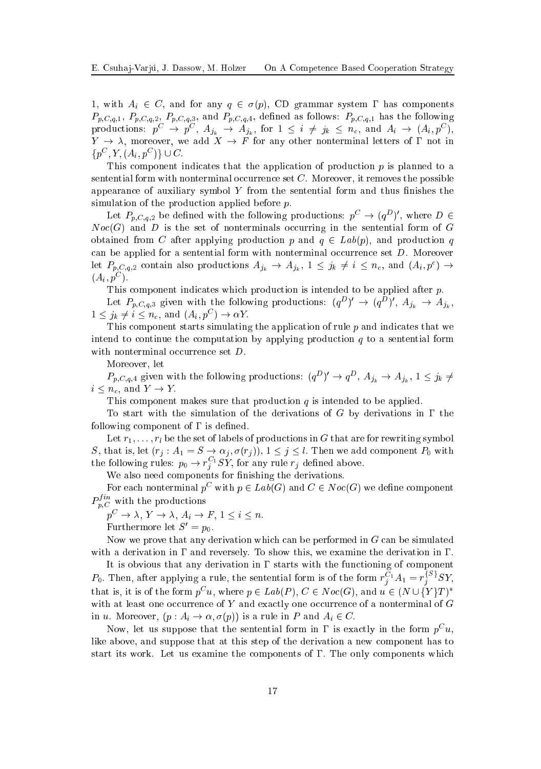1, with  $A_i \in C$ , and for any  $q \in \sigma(p)$ , CD grammar system  $\Gamma$  has components  $P_{p,C,q,1}, P_{p,C,q,2}, P_{p,C,q,3},$  and  $P_{p,C,q,4},$  defined as follows:  $P_{p,C,q,1}$  has the following productions:  $p^{\mathcal{C}} \to p^{\mathcal{C}}, A_{j_k} \to A_{j_k}$ , for  $1 \leq i \neq j_k \leq n_c$ , and  $A_i \to (A_i, p^{\mathcal{C}})$ ,  $Y \to \lambda$ , moreover, we add  $X \to F$  for any other nonterminal letters of  $\Gamma$  not in  $\{p^{\mathcal{C}}, Y, (A_i, p^{\mathcal{C}})\}\cup C.$ 

This component indicates that the application of production  $p$  is planned to a sentential form with nonterminal occurrence set  $C$ . Moreover, it removes the possible appearance of auxiliary symbol  $Y$  from the sentential form and thus finishes the simulation of the production applied before  $p$ .

Let  $P_{p,C,q,2}$  be defined with the following productions:  $p^{\mathcal{C}} \to (q^D)'$ , where  $D \in$  $Noc(G)$  and D is the set of nonterminals occurring in the sentential form of G obtained from C after applying production p and  $q \in Lab(p)$ , and production q can be applied for a sentential form with nonterminal occurrence set  $D$ . Moreover let  $P_{p,C,q,2}$  contain also productions  $A_{j_k} \to A_{j_k}$ ,  $1 \leq j_k \neq i \leq n_c$ , and  $(A_i, p^c) \to$  $(A_i, p^C)$ .

This component indicates which production is intended to be applied after p.

Let  $P_{p,C,q,3}$  given with the following productions:  $(q^D)' \rightarrow (q^D)'$ ,  $A_{j_k} \rightarrow A_{j_k}$ ,  $1 \leq j_k \neq i \leq n_c$ , and  $(A_i, p^C) \to \alpha Y$ .

This component starts simulating the application of rule  $p$  and indicates that we intend to continue the computation by applying production  $q$  to a sentential form with nonterminal occurrence set  $D$ .

Moreover, let

 $P_{p,C,q,4}$  given with the following productions:  $(q^D)' \rightarrow q^D$ ,  $A_{j_k} \rightarrow A_{j_k}$ ,  $1 \leq j_k \neq j_k$  $i \leq n_c$ , and  $Y \to Y$ .

This component makes sure that production  $q$  is intended to be applied.

To start with the simulation of the derivations of G by derivations in  $\Gamma$  the following component of  $\Gamma$  is defined.

Let  $r_1, \ldots, r_l$  be the set of labels of productions in G that are for rewriting symbol S, that is, let  $(r_j : A_1 = S \rightarrow \alpha_j, \sigma(r_j)), 1 \leq j \leq l$ . Then we add component  $P_0$  with the following rules:  $p_0 \to r_i^{\text{C}_1} SY$ , for any rule  $r_j$  defined above.

We also need components for finishing the derivations.

For each nonterminal  $p^C$  with  $p \in Lab(G)$  and  $C \in Noc(G)$  we define component  $P_{p,C}^{f,m}$  with the productions

 $p^C \to \lambda, Y \to \lambda, A_i \to F, 1 \leq i \leq n.$ 

Furthermore let  $S' = p_0$ .

Now we prove that any derivation which can be performed in  $G$  can be simulated with a derivation in  $\Gamma$  and reversely. To show this, we examine the derivation in  $\Gamma$ .

It is obvious that any derivation in  $\Gamma$  starts with the functioning of component  $P_0$ . Then, after applying a rule, the sentential form is of the form  $r_i^{\cup 1}A_1 = r_i^{\cup 1}SY$ , that is, it is of the form  $p^C u$ , where  $p \in Lab(P)$ ,  $C \in Noc(G)$ , and  $u \in (N \cup \{Y\}T)^*$ with at least one occurrence of  $Y$  and exactly one occurrence of a nonterminal of  $G$ in u. Moreover,  $(p: A_i \to \alpha, \sigma(p))$  is a rule in P and  $A_i \in C$ .

Now, let us suppose that the sentential form in 1 is exactly in the form  $p^{\circ} u,$ like above, and suppose that at this step of the derivation a new component has to start its work. Let us examine the components of  $\Gamma$ . The only components which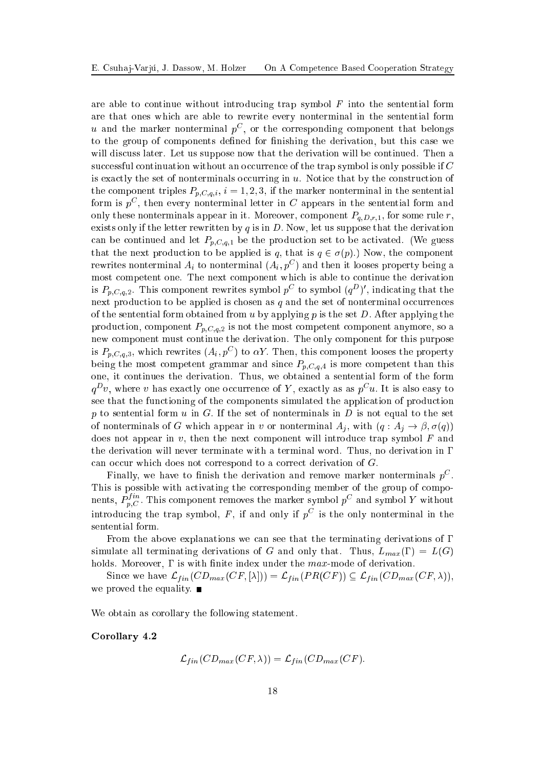are able to continue without introducing trap symbol  $F$  into the sentential form are that ones whi
h are able to rewrite every nonterminal in the sentential form  $u$  and the marker nonterminal  $p^{\circ}$ , or the corresponding component that belongs to the group of components defined for finishing the derivation, but this case we will discuss later. Let us suppose now that the derivation will be continued. Then a successful continuation without an occurrence of the trap symbol is only possible if C is exactly the set of nonterminals occurring in  $u$ . Notice that by the construction of the component triples  $P_{p,C,q,i}$ ,  $i = 1,2,3$ , if the marker nonterminal in the sentential form is  $p^C$ , then every nonterminal letter in C appears in the sentential form and only these nonterminals appear in it. Moreover, component  $P_{q,D,r,1}$ , for some rule r, exists only if the letter rewritten by q is in  $D$ . Now, let us suppose that the derivation can be continued and let  $P_{p,C,q,1}$  be the production set to be activated. (We guess that the next production to be applied is q, that is  $q \in \sigma(p)$ .) Now, the component rewrites nonterminal  $A_i$  to nonterminal  $(A_i, p^C)$  and then it looses property being a most ompetent one. The next omponent whi
h is able to ontinue the derivation is  $P_{p,C,q,2}$ . This component rewrites symbol  $p^C$  to symbol  $(q^D)'$ , indicating that the next production to be applied is chosen as  $q$  and the set of nonterminal occurrences of the sentential form obtained from u by applying p is the set  $D$ . After applying the production, component  $P_{p,C,q,2}$  is not the most competent component anymore, so a new omponent must ontinue the derivation. The only omponent for this purpose is  $P_{p,C,q,3}$ , which rewrites  $(A_i, p^C)$  to  $\alpha Y$ . Then, this component looses the property being the most competent grammar and since  $P_{p,C,q,4}$  is more competent than this one, it ontinues the derivation. Thus, we obtained a sentential form of the form  $q^D v$ , where v has exactly one occurrence of Y, exactly as as  $p^C u$ . It is also easy to see that the functioning of the components simulated the application of production p to sentential form  $u$  in  $G$ . If the set of nonterminals in  $D$  is not equal to the set of nonterminals of G which appear in v or nonterminal  $A_i$ , with  $(q: A_i \to \beta, \sigma(q))$ does not appear in  $v$ , then the next component will introduce trap symbol  $F$  and the derivation will never terminate with a terminal word. Thus, no derivation in can occur which does not correspond to a correct derivation of G.

Finally, we have to finish the derivation and remove marker nonterminals  $p^\circ$ . nents,  $P_{p,C}^{fin}$ . This component removes the marker symbol  $p^C$  and symbol Y without introducing the trap symbol, F, if and only if  $p^{\mathrm{C}}$  is the only nonterminal in the sentential form.

From the above explanations we can see that the terminating derivations of  $\Gamma$ simulate all terminating derivations of G and only that. Thus,  $L_{max}(\Gamma) = L(G)$ holds. Moreover,  $\Gamma$  is with finite index under the  $max$ -mode of derivation.

Since we have  $\mathcal{L}_{fin}(CD_{max}(CF, [\lambda])) = \mathcal{L}_{fin}(PR(CF)) \subseteq \mathcal{L}_{fin}(CD_{max}(CF, \lambda)),$ we proved the equality.  $\blacksquare$ 

We obtain as orollary the following statement.

Corollary 4.2

$$
\mathcal{L}_{fin}(CD_{max}(CF,\lambda)) = \mathcal{L}_{fin}(CD_{max}(CF).
$$